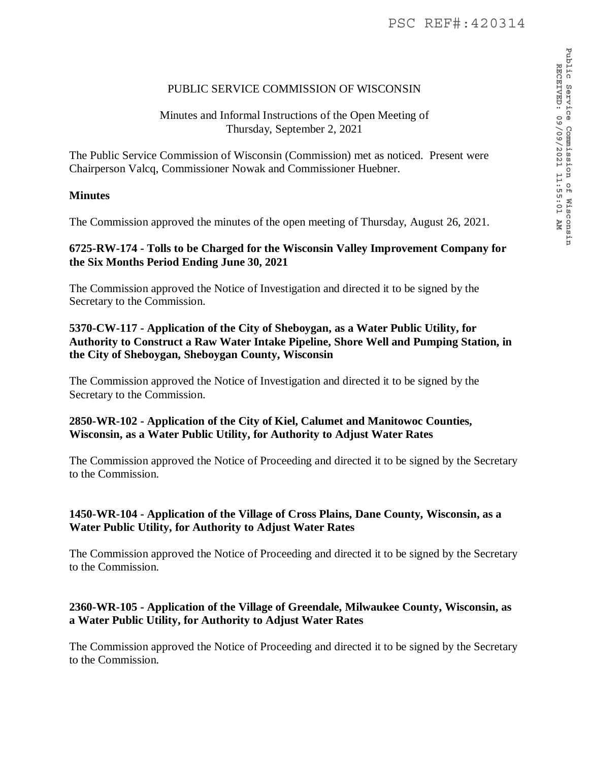# PUBLIC SERVICE COMMISSION OF WISCONSIN

# Minutes and Informal Instructions of the Open Meeting of Thursday, September 2, 2021

The Public Service Commission of Wisconsin (Commission) met as noticed. Present were Chairperson Valcq, Commissioner Nowak and Commissioner Huebner.

# **Minutes**

The Commission approved the minutes of the open meeting of Thursday, August 26, 2021.

#### **6725-RW-174 - Tolls to be Charged for the Wisconsin Valley Improvement Company for the Six Months Period Ending June 30, 2021**

The Commission approved the Notice of Investigation and directed it to be signed by the Secretary to the Commission.

# **5370-CW-117 - Application of the City of Sheboygan, as a Water Public Utility, for Authority to Construct a Raw Water Intake Pipeline, Shore Well and Pumping Station, in the City of Sheboygan, Sheboygan County, Wisconsin**

The Commission approved the Notice of Investigation and directed it to be signed by the Secretary to the Commission.

#### **2850-WR-102 - Application of the City of Kiel, Calumet and Manitowoc Counties, Wisconsin, as a Water Public Utility, for Authority to Adjust Water Rates**

The Commission approved the Notice of Proceeding and directed it to be signed by the Secretary to the Commission.

# **1450-WR-104 - Application of the Village of Cross Plains, Dane County, Wisconsin, as a Water Public Utility, for Authority to Adjust Water Rates**

The Commission approved the Notice of Proceeding and directed it to be signed by the Secretary to the Commission.

# **2360-WR-105 - Application of the Village of Greendale, Milwaukee County, Wisconsin, as a Water Public Utility, for Authority to Adjust Water Rates**

The Commission approved the Notice of Proceeding and directed it to be signed by the Secretary to the Commission.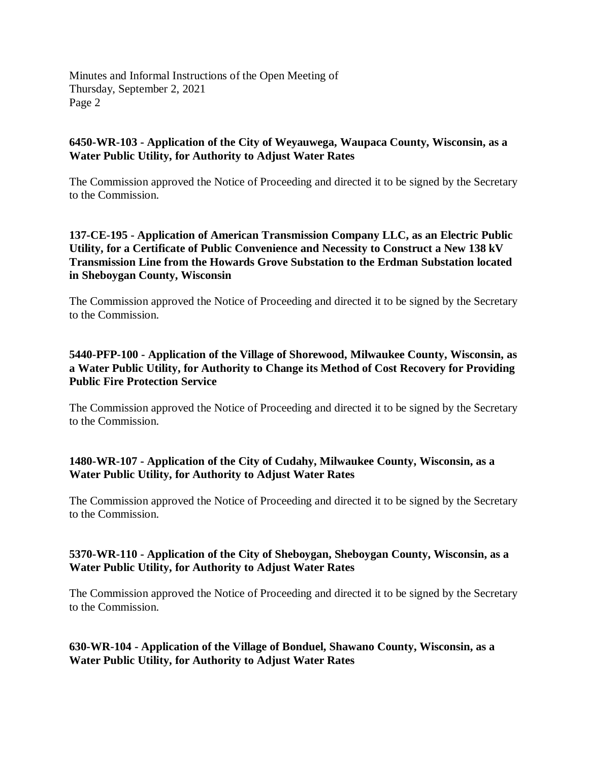#### **6450-WR-103 - Application of the City of Weyauwega, Waupaca County, Wisconsin, as a Water Public Utility, for Authority to Adjust Water Rates**

The Commission approved the Notice of Proceeding and directed it to be signed by the Secretary to the Commission.

### **137-CE-195 - Application of American Transmission Company LLC, as an Electric Public Utility, for a Certificate of Public Convenience and Necessity to Construct a New 138 kV Transmission Line from the Howards Grove Substation to the Erdman Substation located in Sheboygan County, Wisconsin**

The Commission approved the Notice of Proceeding and directed it to be signed by the Secretary to the Commission.

# **5440-PFP-100 - Application of the Village of Shorewood, Milwaukee County, Wisconsin, as a Water Public Utility, for Authority to Change its Method of Cost Recovery for Providing Public Fire Protection Service**

The Commission approved the Notice of Proceeding and directed it to be signed by the Secretary to the Commission.

# **1480-WR-107 - Application of the City of Cudahy, Milwaukee County, Wisconsin, as a Water Public Utility, for Authority to Adjust Water Rates**

The Commission approved the Notice of Proceeding and directed it to be signed by the Secretary to the Commission.

#### **5370-WR-110 - Application of the City of Sheboygan, Sheboygan County, Wisconsin, as a Water Public Utility, for Authority to Adjust Water Rates**

The Commission approved the Notice of Proceeding and directed it to be signed by the Secretary to the Commission.

#### **630-WR-104 - Application of the Village of Bonduel, Shawano County, Wisconsin, as a Water Public Utility, for Authority to Adjust Water Rates**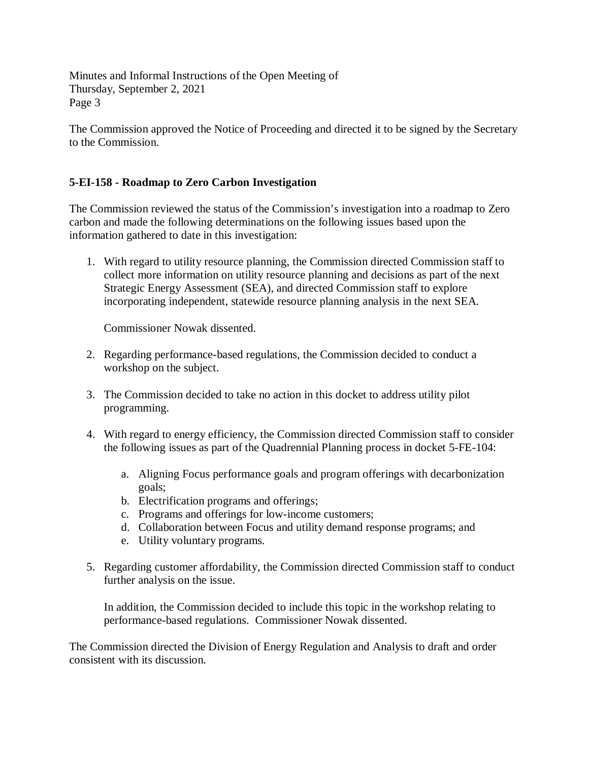The Commission approved the Notice of Proceeding and directed it to be signed by the Secretary to the Commission.

# **5-EI-158 - Roadmap to Zero Carbon Investigation**

The Commission reviewed the status of the Commission's investigation into a roadmap to Zero carbon and made the following determinations on the following issues based upon the information gathered to date in this investigation:

1. With regard to utility resource planning, the Commission directed Commission staff to collect more information on utility resource planning and decisions as part of the next Strategic Energy Assessment (SEA), and directed Commission staff to explore incorporating independent, statewide resource planning analysis in the next SEA.

Commissioner Nowak dissented.

- 2. Regarding performance-based regulations, the Commission decided to conduct a workshop on the subject.
- 3. The Commission decided to take no action in this docket to address utility pilot programming.
- 4. With regard to energy efficiency, the Commission directed Commission staff to consider the following issues as part of the Quadrennial Planning process in docket 5-FE-104:
	- a. Aligning Focus performance goals and program offerings with decarbonization goals;
	- b. Electrification programs and offerings;
	- c. Programs and offerings for low-income customers;
	- d. Collaboration between Focus and utility demand response programs; and
	- e. Utility voluntary programs.
- 5. Regarding customer affordability, the Commission directed Commission staff to conduct further analysis on the issue.

In addition, the Commission decided to include this topic in the workshop relating to performance-based regulations. Commissioner Nowak dissented.

The Commission directed the Division of Energy Regulation and Analysis to draft and order consistent with its discussion.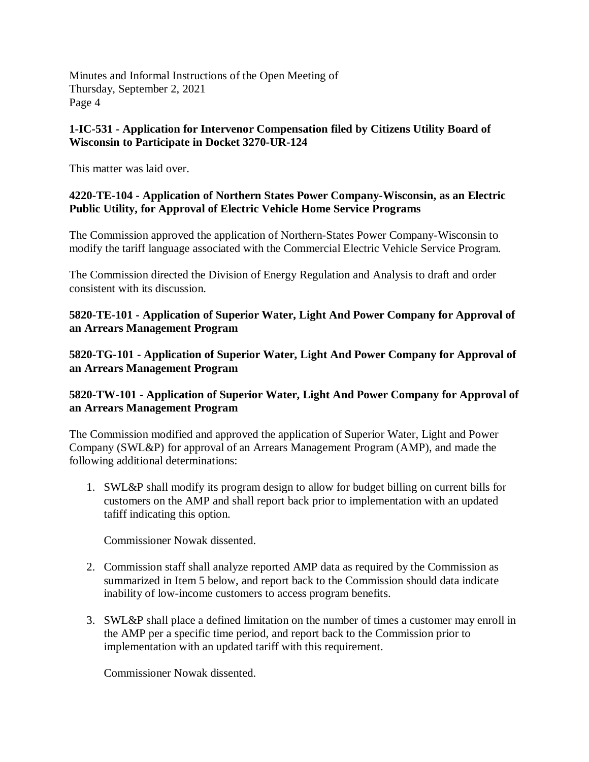## **1-IC-531 - Application for Intervenor Compensation filed by Citizens Utility Board of Wisconsin to Participate in Docket 3270-UR-124**

This matter was laid over.

# **4220-TE-104 - Application of Northern States Power Company-Wisconsin, as an Electric Public Utility, for Approval of Electric Vehicle Home Service Programs**

The Commission approved the application of Northern-States Power Company-Wisconsin to modify the tariff language associated with the Commercial Electric Vehicle Service Program.

The Commission directed the Division of Energy Regulation and Analysis to draft and order consistent with its discussion.

**5820-TE-101 - Application of Superior Water, Light And Power Company for Approval of an Arrears Management Program**

**5820-TG-101 - Application of Superior Water, Light And Power Company for Approval of an Arrears Management Program**

# **5820-TW-101 - Application of Superior Water, Light And Power Company for Approval of an Arrears Management Program**

The Commission modified and approved the application of Superior Water, Light and Power Company (SWL&P) for approval of an Arrears Management Program (AMP), and made the following additional determinations:

1. SWL&P shall modify its program design to allow for budget billing on current bills for customers on the AMP and shall report back prior to implementation with an updated tafiff indicating this option.

Commissioner Nowak dissented.

- 2. Commission staff shall analyze reported AMP data as required by the Commission as summarized in Item 5 below, and report back to the Commission should data indicate inability of low-income customers to access program benefits.
- 3. SWL&P shall place a defined limitation on the number of times a customer may enroll in the AMP per a specific time period, and report back to the Commission prior to implementation with an updated tariff with this requirement.

Commissioner Nowak dissented.